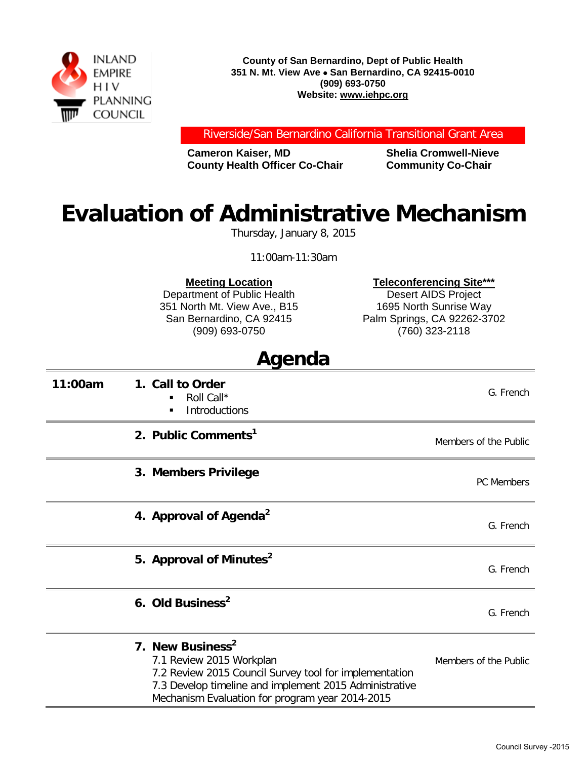

**County of San Bernardino, Dept of Public Health 351 N. Mt. View Ave** • **San Bernardino, CA 92415-0010 (909) 693-0750 Website: www.iehpc.org**

Riverside/San Bernardino California Transitional Grant Area

**Cameron Kaiser, MD Shelia Cromwell-Nieve County Health Officer Co-Chair Community Co-Chair** 

## **Evaluation of Administrative Mechanism**

Thursday, January 8, 2015

11:00am-11:30am

**Meeting Location**

Department of Public Health 351 North Mt. View Ave., B15 San Bernardino, CA 92415 (909) 693-0750

**Teleconferencing Site\*\*\***

Desert AIDS Project 1695 North Sunrise Way Palm Springs, CA 92262-3702 (760) 323-2118

## **Agenda**

| 11:00am | 1. Call to Order<br>Roll Call*<br>Introductions<br>$\blacksquare$                                                                                                                                                               | G. French             |
|---------|---------------------------------------------------------------------------------------------------------------------------------------------------------------------------------------------------------------------------------|-----------------------|
|         | 2. Public Comments <sup>1</sup>                                                                                                                                                                                                 | Members of the Public |
|         | 3. Members Privilege                                                                                                                                                                                                            | PC Members            |
|         | 4. Approval of Agenda <sup>2</sup>                                                                                                                                                                                              | G. French             |
|         | 5. Approval of Minutes <sup>2</sup>                                                                                                                                                                                             | G. French             |
|         | 6. Old Business <sup>2</sup>                                                                                                                                                                                                    | G. French             |
|         | 7. New Business <sup>2</sup><br>7.1 Review 2015 Workplan<br>7.2 Review 2015 Council Survey tool for implementation<br>7.3 Develop timeline and implement 2015 Administrative<br>Mechanism Evaluation for program year 2014-2015 | Members of the Public |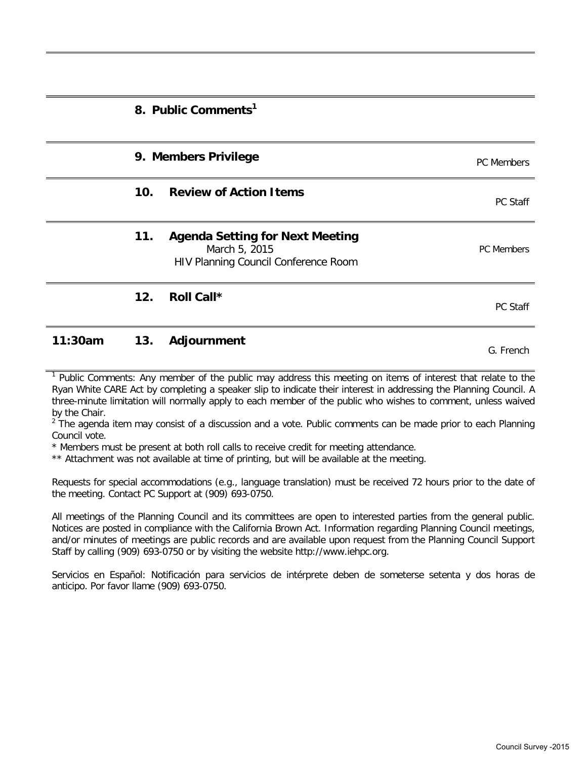|                 | 8. Public Comments <sup>1</sup>                                                                 |                   |
|-----------------|-------------------------------------------------------------------------------------------------|-------------------|
|                 | 9. Members Privilege                                                                            | PC Members        |
| 10 <sub>1</sub> | <b>Review of Action Items</b>                                                                   | PC Staff          |
| 11.             | <b>Agenda Setting for Next Meeting</b><br>March 5, 2015<br>HIV Planning Council Conference Room | <b>PC</b> Members |
| 12.             | Roll Call*                                                                                      | <b>PC Staff</b>   |

## **11:30am 13. Adjournment Community Community Community Community Community Community Community Community Community Community Community Community Community Community Community Community Community Community Community Commu**

<sup>1</sup> Public Comments: Any member of the public may address this meeting on items of interest that relate to the Ryan White CARE Act by completing a speaker slip to indicate their interest in addressing the Planning Council. A three-minute limitation will normally apply to each member of the public who wishes to comment, unless waived by the Chair.

 $<sup>2</sup>$  The agenda item may consist of a discussion and a vote. Public comments can be made prior to each Planning</sup> Council vote.

\* Members must be present at both roll calls to receive credit for meeting attendance.

\*\* Attachment was not available at time of printing, but will be available at the meeting.

Requests for special accommodations (e.g., language translation) must be received 72 hours prior to the date of the meeting. Contact PC Support at (909) 693-0750.

All meetings of the Planning Council and its committees are open to interested parties from the general public. Notices are posted in compliance with the California Brown Act. Information regarding Planning Council meetings, and/or minutes of meetings are public records and are available upon request from the Planning Council Support Staff by calling (909) 693-0750 or by visiting the website http://www.iehpc.org.

Servicios en Español: Notificación para servicios de intérprete deben de someterse setenta y dos horas de anticipo. Por favor llame (909) 693-0750.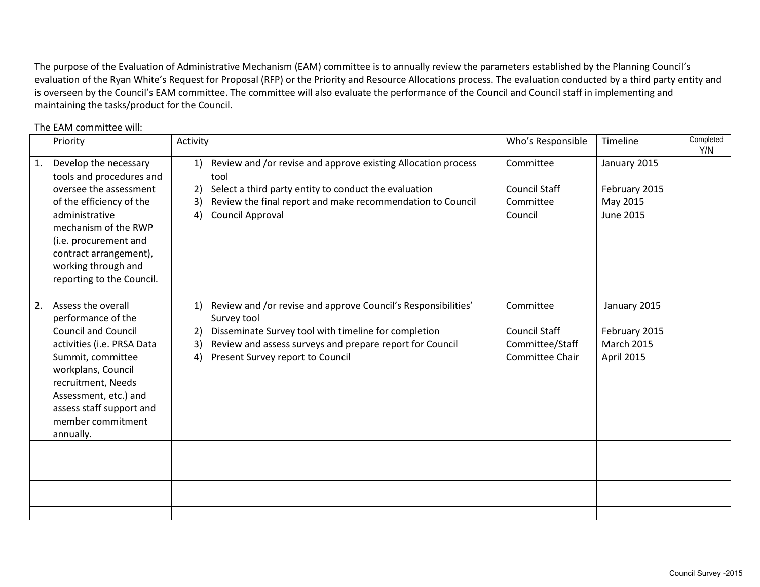The purpose of the Evaluation of Administrative Mechanism (EAM) committee is to annually review the parameters established by the Planning Council's evaluation of the Ryan White's Request for Proposal (RFP) or the Priority and Resource Allocations process. The evaluation conducted by a third party entity and is overseen by the Council's EAM committee. The committee will also evaluate the performance of the Council and Council staff in implementing and maintaining the tasks/product for the Council.

|    | Priority                                                                                                                                                                                                                                                     | Activity                                                                                                                                                                                                                                                            | Who's Responsible                                                       | Timeline                                                         | Completed<br>Y/N |
|----|--------------------------------------------------------------------------------------------------------------------------------------------------------------------------------------------------------------------------------------------------------------|---------------------------------------------------------------------------------------------------------------------------------------------------------------------------------------------------------------------------------------------------------------------|-------------------------------------------------------------------------|------------------------------------------------------------------|------------------|
| 1. | Develop the necessary<br>tools and procedures and<br>oversee the assessment<br>of the efficiency of the<br>administrative<br>mechanism of the RWP<br>(i.e. procurement and<br>contract arrangement),<br>working through and<br>reporting to the Council.     | Review and /or revise and approve existing Allocation process<br>1)<br>tool<br>Select a third party entity to conduct the evaluation<br>2)<br>Review the final report and make recommendation to Council<br>3)<br>Council Approval<br>4)                            | Committee<br><b>Council Staff</b><br>Committee<br>Council               | January 2015<br>February 2015<br>May 2015<br><b>June 2015</b>    |                  |
| 2. | Assess the overall<br>performance of the<br><b>Council and Council</b><br>activities (i.e. PRSA Data<br>Summit, committee<br>workplans, Council<br>recruitment, Needs<br>Assessment, etc.) and<br>assess staff support and<br>member commitment<br>annually. | Review and /or revise and approve Council's Responsibilities'<br>$\ket{1}$<br>Survey tool<br>Disseminate Survey tool with timeline for completion<br>2)<br>Review and assess surveys and prepare report for Council<br>3)<br>Present Survey report to Council<br>4) | Committee<br><b>Council Staff</b><br>Committee/Staff<br>Committee Chair | January 2015<br>February 2015<br><b>March 2015</b><br>April 2015 |                  |
|    |                                                                                                                                                                                                                                                              |                                                                                                                                                                                                                                                                     |                                                                         |                                                                  |                  |
|    |                                                                                                                                                                                                                                                              |                                                                                                                                                                                                                                                                     |                                                                         |                                                                  |                  |
|    |                                                                                                                                                                                                                                                              |                                                                                                                                                                                                                                                                     |                                                                         |                                                                  |                  |
|    |                                                                                                                                                                                                                                                              |                                                                                                                                                                                                                                                                     |                                                                         |                                                                  |                  |

The EAM committee will: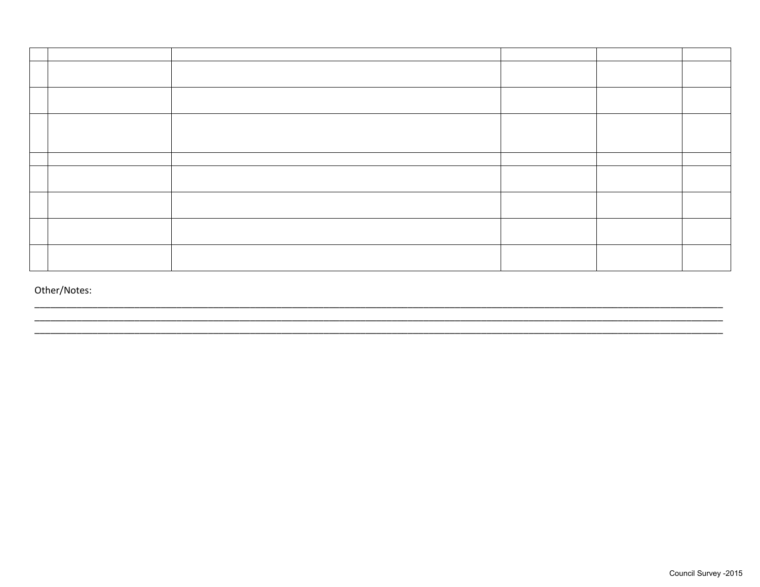Other/Notes: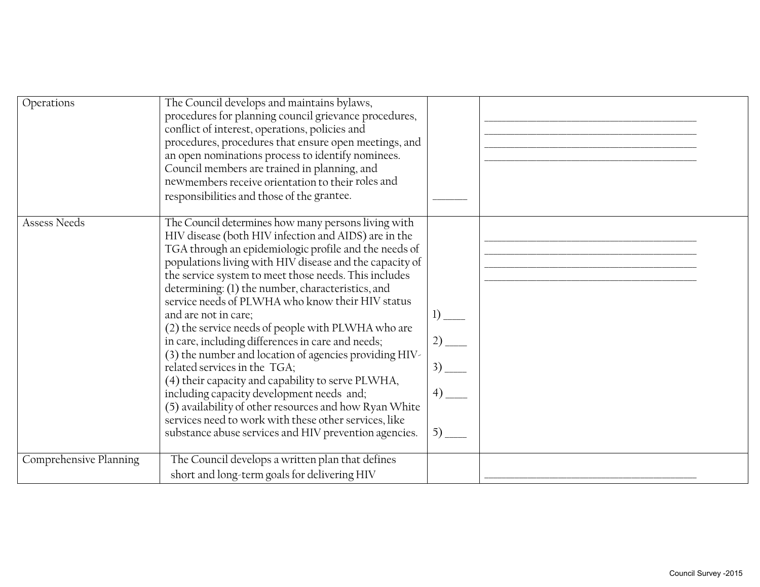| Operations             | The Council develops and maintains bylaws,<br>procedures for planning council grievance procedures,<br>conflict of interest, operations, policies and<br>procedures, procedures that ensure open meetings, and<br>an open nominations process to identify nominees.<br>Council members are trained in planning, and<br>newmembers receive orientation to their roles and<br>responsibilities and those of the grantee.                                                                                                                                                                                                                                                                                                                                                                                                                                                                                       |                         |  |
|------------------------|--------------------------------------------------------------------------------------------------------------------------------------------------------------------------------------------------------------------------------------------------------------------------------------------------------------------------------------------------------------------------------------------------------------------------------------------------------------------------------------------------------------------------------------------------------------------------------------------------------------------------------------------------------------------------------------------------------------------------------------------------------------------------------------------------------------------------------------------------------------------------------------------------------------|-------------------------|--|
| <b>Assess Needs</b>    | The Council determines how many persons living with<br>HIV disease (both HIV infection and AIDS) are in the<br>TGA through an epidemiologic profile and the needs of<br>populations living with HIV disease and the capacity of<br>the service system to meet those needs. This includes<br>determining: (1) the number, characteristics, and<br>service needs of PLWHA who know their HIV status<br>and are not in care;<br>(2) the service needs of people with PLWHA who are<br>in care, including differences in care and needs;<br>(3) the number and location of agencies providing HIV-<br>related services in the TGA;<br>(4) their capacity and capability to serve PLWHA,<br>including capacity development needs and;<br>(5) availability of other resources and how Ryan White<br>services need to work with these other services, like<br>substance abuse services and HIV prevention agencies. | $1)$ —<br>12)<br>$5)$ — |  |
| Comprehensive Planning | The Council develops a written plan that defines<br>short and long-term goals for delivering HIV                                                                                                                                                                                                                                                                                                                                                                                                                                                                                                                                                                                                                                                                                                                                                                                                             |                         |  |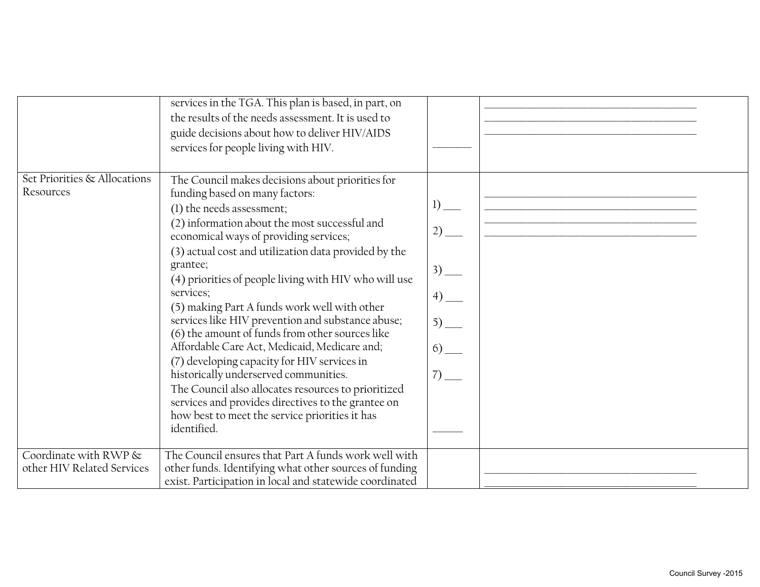|                              | services in the TGA. This plan is based, in part, on<br>the results of the needs assessment. It is used to<br>guide decisions about how to deliver HIV/AIDS<br>services for people living with HIV.                                                                                                                                                                                                                                                                                                                                                                                                                                                                                                                                                                            |                                                        |  |
|------------------------------|--------------------------------------------------------------------------------------------------------------------------------------------------------------------------------------------------------------------------------------------------------------------------------------------------------------------------------------------------------------------------------------------------------------------------------------------------------------------------------------------------------------------------------------------------------------------------------------------------------------------------------------------------------------------------------------------------------------------------------------------------------------------------------|--------------------------------------------------------|--|
| Set Priorities & Allocations | The Council makes decisions about priorities for                                                                                                                                                                                                                                                                                                                                                                                                                                                                                                                                                                                                                                                                                                                               |                                                        |  |
| Resources                    | funding based on many factors:<br>(1) the needs assessment;<br>(2) information about the most successful and<br>economical ways of providing services;<br>(3) actual cost and utilization data provided by the<br>grantee;<br>(4) priorities of people living with HIV who will use<br>services;<br>(5) making Part A funds work well with other<br>services like HIV prevention and substance abuse;<br>(6) the amount of funds from other sources like<br>Affordable Care Act, Medicaid, Medicare and;<br>(7) developing capacity for HIV services in<br>historically underserved communities.<br>The Council also allocates resources to prioritized<br>services and provides directives to the grantee on<br>how best to meet the service priorities it has<br>identified. | $1)$ —<br>$2)$ —<br>$3)$ —<br>$5)$ —<br>$rac{6}{7}$ -- |  |
|                              |                                                                                                                                                                                                                                                                                                                                                                                                                                                                                                                                                                                                                                                                                                                                                                                |                                                        |  |
| Coordinate with RWP &        | The Council ensures that Part A funds work well with                                                                                                                                                                                                                                                                                                                                                                                                                                                                                                                                                                                                                                                                                                                           |                                                        |  |
| other HIV Related Services   | other funds. Identifying what other sources of funding                                                                                                                                                                                                                                                                                                                                                                                                                                                                                                                                                                                                                                                                                                                         |                                                        |  |
|                              | exist. Participation in local and statewide coordinated                                                                                                                                                                                                                                                                                                                                                                                                                                                                                                                                                                                                                                                                                                                        |                                                        |  |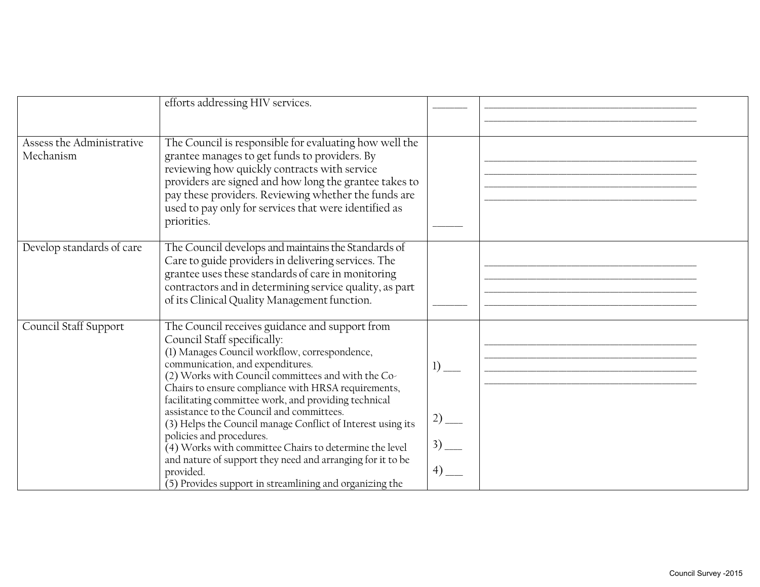|                           | efforts addressing HIV services.                            |           |  |
|---------------------------|-------------------------------------------------------------|-----------|--|
|                           |                                                             |           |  |
|                           |                                                             |           |  |
| Assess the Administrative | The Council is responsible for evaluating how well the      |           |  |
|                           |                                                             |           |  |
| Mechanism                 | grantee manages to get funds to providers. By               |           |  |
|                           | reviewing how quickly contracts with service                |           |  |
|                           | providers are signed and how long the grantee takes to      |           |  |
|                           | pay these providers. Reviewing whether the funds are        |           |  |
|                           |                                                             |           |  |
|                           | used to pay only for services that were identified as       |           |  |
|                           | priorities.                                                 |           |  |
|                           |                                                             |           |  |
| Develop standards of care | The Council develops and maintains the Standards of         |           |  |
|                           | Care to guide providers in delivering services. The         |           |  |
|                           |                                                             |           |  |
|                           | grantee uses these standards of care in monitoring          |           |  |
|                           | contractors and in determining service quality, as part     |           |  |
|                           | of its Clinical Quality Management function.                |           |  |
|                           |                                                             |           |  |
| Council Staff Support     | The Council receives guidance and support from              |           |  |
|                           |                                                             |           |  |
|                           | Council Staff specifically:                                 |           |  |
|                           | (1) Manages Council workflow, correspondence,               |           |  |
|                           | communication, and expenditures.                            | 1)        |  |
|                           | (2) Works with Council committees and with the Co-          |           |  |
|                           | Chairs to ensure compliance with HRSA requirements,         |           |  |
|                           | facilitating committee work, and providing technical        |           |  |
|                           | assistance to the Council and committees.                   |           |  |
|                           | (3) Helps the Council manage Conflict of Interest using its | $2)$ —    |  |
|                           | policies and procedures.                                    |           |  |
|                           | $(4)$ Works with committee Chairs to determine the level    | $3)$ —    |  |
|                           | and nature of support they need and arranging for it to be  |           |  |
|                           | provided.                                                   | $^{(4)}-$ |  |
|                           | (5) Provides support in streamlining and organizing the     |           |  |